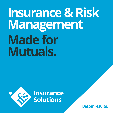# **Insurance & Risk Management Made for Mutuals.**



**Insurance**<br>Solutions

**Better results.**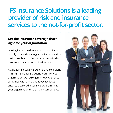## **IFS Insurance Solutions is a leading provider of risk and insurance services to the not-for-profit sector.**

## **Get the insurance coverage that's right for your organisation.**

Getting insurance directly through an insurer usually means that you get the insurance that the insurer has to offer – not necessarily the insurance that your organisation needs.

As a leading insurance broking and consulting firm, IFS Insurance Solutions works for your organisation. Our strong market experience combined with our client advocacy focus ensures a tailored insurance programme for your organisation that is highly competitive.

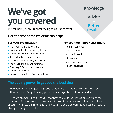## **We've got you covered**

We can help your Mutual get the right insurance cover.

### **Here's some of the ways we can help:**

#### **For your organisation**

- **›** Risk Profiling & Gap Analysis
- **›** Directors' & Officers' Liability Insurance
- **›** Professional Indemnity Insurance
- **›** Crime/Bankers Bond Insurance
- **›** Cyber Risks and Privacy Insurance
- **›** Mortgage Impairment Insurance
- **›** Property & Construction Insurance
- **›** Public Liability Insurance
- **›** Employee Benefits & Corporate Travel

### **For your members / customers**

- **›** Home & Contents
- **›** Motor Vehicle
- **›** Income Protection
- **›** Life Insurance
- **›** Mortgage Protection
- **›** Health Insurance

## **The buying power to get you the best deal**

When you're trying to get the products you need at a fair price, it makes a big difference if you've got buying power to leverage the best possible deal.

IFS Insurance Solutions gives you that power. We deliver insurance services for not-for-profit organisations covering millions of members and billions of dollars in assets. When we go in to negotiate insurance deals on your behalf, we do it with a strength that gets results.

**Knowledge**

**Advice**

**Better results.**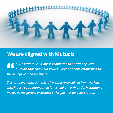

## **We are aligned with Mutuals**

*IFS Insurance Solutions is committed to partnering with Mutuals that share our values – organisations established for the benefit of their members.*

*This combined with our extensive experience gained from working with industry superannuation funds and other financial institutions makes us the perfect insurance & risk partner for your Mutual."*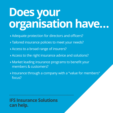## **Does your organisation have…**

- **›** Adequate protection for directors and officers?
- **›** Tailored insurance policies to meet your needs?
- **›** Access to a broad range of insurers?
- **›** Access to the right insurance advice and solutions?
- **›** Market leading insurance programs to benefit your members & customers?
- **›** Insurance through a company with a "value for members" focus?

## **IFS Insurance Solutions can help.**